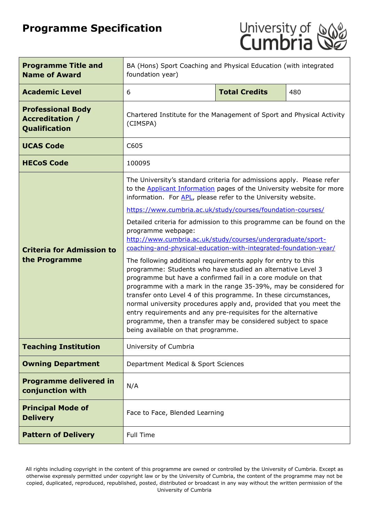# **Programme Specification**



| <b>Programme Title and</b><br><b>Name of Award</b>                  | BA (Hons) Sport Coaching and Physical Education (with integrated<br>foundation year)                                                                                                                                                                                                                                                                                                                                                                                                                                                                                               |  |  |  |  |
|---------------------------------------------------------------------|------------------------------------------------------------------------------------------------------------------------------------------------------------------------------------------------------------------------------------------------------------------------------------------------------------------------------------------------------------------------------------------------------------------------------------------------------------------------------------------------------------------------------------------------------------------------------------|--|--|--|--|
| <b>Academic Level</b>                                               | <b>Total Credits</b><br>6<br>480                                                                                                                                                                                                                                                                                                                                                                                                                                                                                                                                                   |  |  |  |  |
| <b>Professional Body</b><br><b>Accreditation /</b><br>Qualification | Chartered Institute for the Management of Sport and Physical Activity<br>(CIMSPA)                                                                                                                                                                                                                                                                                                                                                                                                                                                                                                  |  |  |  |  |
| <b>UCAS Code</b>                                                    | C605                                                                                                                                                                                                                                                                                                                                                                                                                                                                                                                                                                               |  |  |  |  |
| <b>HECoS Code</b>                                                   | 100095                                                                                                                                                                                                                                                                                                                                                                                                                                                                                                                                                                             |  |  |  |  |
|                                                                     | The University's standard criteria for admissions apply. Please refer<br>to the <b>Applicant Information</b> pages of the University website for more<br>information. For APL, please refer to the University website.                                                                                                                                                                                                                                                                                                                                                             |  |  |  |  |
|                                                                     | https://www.cumbria.ac.uk/study/courses/foundation-courses/                                                                                                                                                                                                                                                                                                                                                                                                                                                                                                                        |  |  |  |  |
| <b>Criteria for Admission to</b>                                    | Detailed criteria for admission to this programme can be found on the<br>programme webpage:<br>http://www.cumbria.ac.uk/study/courses/undergraduate/sport-<br>coaching-and-physical-education-with-integrated-foundation-year/                                                                                                                                                                                                                                                                                                                                                     |  |  |  |  |
| the Programme                                                       | The following additional requirements apply for entry to this<br>programme: Students who have studied an alternative Level 3<br>programme but have a confirmed fail in a core module on that<br>programme with a mark in the range 35-39%, may be considered for<br>transfer onto Level 4 of this programme. In these circumstances,<br>normal university procedures apply and, provided that you meet the<br>entry requirements and any pre-requisites for the alternative<br>programme, then a transfer may be considered subject to space<br>being available on that programme. |  |  |  |  |
| <b>Teaching Institution</b>                                         | University of Cumbria                                                                                                                                                                                                                                                                                                                                                                                                                                                                                                                                                              |  |  |  |  |
| <b>Owning Department</b>                                            | Department Medical & Sport Sciences                                                                                                                                                                                                                                                                                                                                                                                                                                                                                                                                                |  |  |  |  |
| <b>Programme delivered in</b><br>conjunction with                   | N/A                                                                                                                                                                                                                                                                                                                                                                                                                                                                                                                                                                                |  |  |  |  |
| <b>Principal Mode of</b><br><b>Delivery</b>                         | Face to Face, Blended Learning                                                                                                                                                                                                                                                                                                                                                                                                                                                                                                                                                     |  |  |  |  |
| <b>Pattern of Delivery</b>                                          | <b>Full Time</b>                                                                                                                                                                                                                                                                                                                                                                                                                                                                                                                                                                   |  |  |  |  |

All rights including copyright in the content of this programme are owned or controlled by the University of Cumbria. Except as otherwise expressly permitted under copyright law or by the University of Cumbria, the content of the programme may not be copied, duplicated, reproduced, republished, posted, distributed or broadcast in any way without the written permission of the University of Cumbria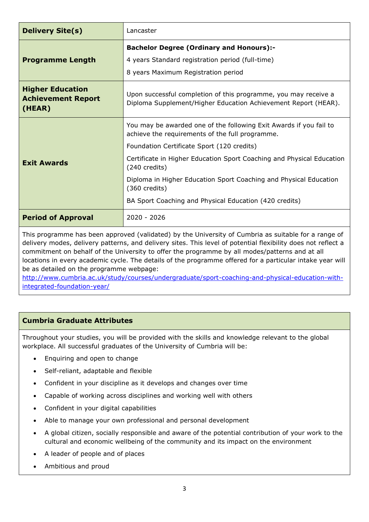| <b>Delivery Site(s)</b>                                        | Lancaster                                                                                                                                                           |  |  |
|----------------------------------------------------------------|---------------------------------------------------------------------------------------------------------------------------------------------------------------------|--|--|
| <b>Programme Length</b>                                        | <b>Bachelor Degree (Ordinary and Honours):-</b><br>4 years Standard registration period (full-time)<br>8 years Maximum Registration period                          |  |  |
| <b>Higher Education</b><br><b>Achievement Report</b><br>(HEAR) | Upon successful completion of this programme, you may receive a<br>Diploma Supplement/Higher Education Achievement Report (HEAR).                                   |  |  |
|                                                                | You may be awarded one of the following Exit Awards if you fail to<br>achieve the requirements of the full programme.<br>Foundation Certificate Sport (120 credits) |  |  |
| <b>Exit Awards</b>                                             | Certificate in Higher Education Sport Coaching and Physical Education<br>(240 credits)                                                                              |  |  |
|                                                                | Diploma in Higher Education Sport Coaching and Physical Education<br>$(360 \text{ credits})$                                                                        |  |  |
|                                                                | BA Sport Coaching and Physical Education (420 credits)                                                                                                              |  |  |
| <b>Period of Approval</b>                                      | 2020 - 2026                                                                                                                                                         |  |  |

This programme has been approved (validated) by the University of Cumbria as suitable for a range of delivery modes, delivery patterns, and delivery sites. This level of potential flexibility does not reflect a commitment on behalf of the University to offer the programme by all modes/patterns and at all locations in every academic cycle. The details of the programme offered for a particular intake year will be as detailed on the programme webpage:

[http://www.cumbria.ac.uk/study/courses/undergraduate/sport-coaching-and-physical-education-with](http://www.cumbria.ac.uk/study/courses/undergraduate/sport-coaching-and-physical-education-with-integrated-foundation-year/)[integrated-foundation-year/](http://www.cumbria.ac.uk/study/courses/undergraduate/sport-coaching-and-physical-education-with-integrated-foundation-year/)

# **Cumbria Graduate Attributes**

Throughout your studies, you will be provided with the skills and knowledge relevant to the global workplace. All successful graduates of the University of Cumbria will be:

- Enquiring and open to change
- Self-reliant, adaptable and flexible
- Confident in your discipline as it develops and changes over time
- Capable of working across disciplines and working well with others
- Confident in your digital capabilities
- Able to manage your own professional and personal development
- A global citizen, socially responsible and aware of the potential contribution of your work to the cultural and economic wellbeing of the community and its impact on the environment
- A leader of people and of places
- Ambitious and proud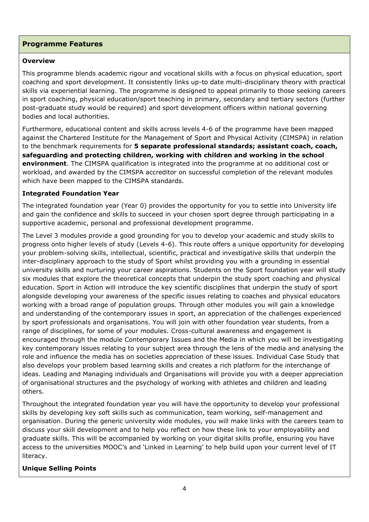## **Programme Features**

#### **Overview**

This programme blends academic rigour and vocational skills with a focus on physical education, sport coaching and sport development. It consistently links up-to date multi-disciplinary theory with practical skills via experiential learning. The programme is designed to appeal primarily to those seeking careers in sport coaching, physical education/sport teaching in primary, secondary and tertiary sectors (further post-graduate study would be required) and sport development officers within national governing bodies and local authorities.

Furthermore, educational content and skills across levels 4-6 of the programme have been mapped against the Chartered Institute for the Management of Sport and Physical Activity (CIMSPA) in relation to the benchmark requirements for **5 separate professional standards; assistant coach, coach, safeguarding and protecting children, working with children and working in the school environment**. The CIMSPA qualification is integrated into the programme at no additional cost or workload, and awarded by the CIMSPA accreditor on successful completion of the relevant modules which have been mapped to the CIMSPA standards.

#### **Integrated Foundation Year**

The integrated foundation year (Year 0) provides the opportunity for you to settle into University life and gain the confidence and skills to succeed in your chosen sport degree through participating in a supportive academic, personal and professional development programme.

The Level 3 modules provide a good grounding for you to develop your academic and study skills to progress onto higher levels of study (Levels 4-6). This route offers a unique opportunity for developing your problem-solving skills, intellectual, scientific, practical and investigative skills that underpin the inter-disciplinary approach to the study of Sport whilst providing you with a grounding in essential university skills and nurturing your career aspirations. Students on the Sport foundation year will study six modules that explore the theoretical concepts that underpin the study sport coaching and physical education. Sport in Action will introduce the key scientific disciplines that underpin the study of sport alongside developing your awareness of the specific issues relating to coaches and physical educators working with a broad range of population groups. Through other modules you will gain a knowledge and understanding of the contemporary issues in sport, an appreciation of the challenges experienced by sport professionals and organisations. You will join with other foundation year students, from a range of disciplines, for some of your modules. Cross-cultural awareness and engagement is encouraged through the module Contemporary Issues and the Media in which you will be investigating key contemporary issues relating to your subject area through the lens of the media and analysing the role and influence the media has on societies appreciation of these issues. Individual Case Study that also develops your problem based learning skills and creates a rich platform for the interchange of ideas. Leading and Managing individuals and Organisations will provide you with a deeper appreciation of organisational structures and the psychology of working with athletes and children and leading others.

Throughout the integrated foundation year you will have the opportunity to develop your professional skills by developing key soft skills such as communication, team working, self-management and organisation. During the generic university wide modules, you will make links with the careers team to discuss your skill development and to help you reflect on how these link to your employability and graduate skills. This will be accompanied by working on your digital skills profile, ensuring you have access to the universities MOOC's and 'Linked in Learning' to help build upon your current level of IT literacy.

## **Unique Selling Points**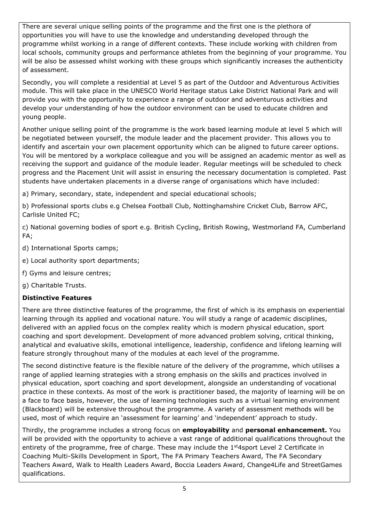There are several unique selling points of the programme and the first one is the plethora of opportunities you will have to use the knowledge and understanding developed through the programme whilst working in a range of different contexts. These include working with children from local schools, community groups and performance athletes from the beginning of your programme. You will be also be assessed whilst working with these groups which significantly increases the authenticity of assessment.

Secondly, you will complete a residential at Level 5 as part of the Outdoor and Adventurous Activities module. This will take place in the UNESCO World Heritage status Lake District National Park and will provide you with the opportunity to experience a range of outdoor and adventurous activities and develop your understanding of how the outdoor environment can be used to educate children and young people.

Another unique selling point of the programme is the work based learning module at level 5 which will be negotiated between yourself, the module leader and the placement provider. This allows you to identify and ascertain your own placement opportunity which can be aligned to future career options. You will be mentored by a workplace colleague and you will be assigned an academic mentor as well as receiving the support and guidance of the module leader. Regular meetings will be scheduled to check progress and the Placement Unit will assist in ensuring the necessary documentation is completed. Past students have undertaken placements in a diverse range of organisations which have included:

a) Primary, secondary, state, independent and special educational schools;

b) Professional sports clubs e.g Chelsea Football Club, Nottinghamshire Cricket Club, Barrow AFC, Carlisle United FC;

c) National governing bodies of sport e.g. British Cycling, British Rowing, Westmorland FA, Cumberland FA;

- d) International Sports camps;
- e) Local authority sport departments;
- f) Gyms and leisure centres;
- g) Charitable Trusts.

# **Distinctive Features**

There are three distinctive features of the programme, the first of which is its emphasis on experiential learning through its applied and vocational nature. You will study a range of academic disciplines, delivered with an applied focus on the complex reality which is modern physical education, sport coaching and sport development. Development of more advanced problem solving, critical thinking, analytical and evaluative skills, emotional intelligence, leadership, confidence and lifelong learning will feature strongly throughout many of the modules at each level of the programme.

The second distinctive feature is the flexible nature of the delivery of the programme, which utilises a range of applied learning strategies with a strong emphasis on the skills and practices involved in physical education, sport coaching and sport development, alongside an understanding of vocational practice in these contexts. As most of the work is practitioner based, the majority of learning will be on a face to face basis, however, the use of learning technologies such as a virtual learning environment (Blackboard) will be extensive throughout the programme. A variety of assessment methods will be used, most of which require an 'assessment for learning' and 'independent' approach to study.

Thirdly, the programme includes a strong focus on **employability** and **personal enhancement.** You will be provided with the opportunity to achieve a vast range of additional qualifications throughout the entirety of the programme, free of charge. These may include the 1<sup>st</sup>4sport Level 2 Certificate in Coaching Multi-Skills Development in Sport, The FA Primary Teachers Award, The FA Secondary Teachers Award, Walk to Health Leaders Award, Boccia Leaders Award, Change4Life and StreetGames qualifications.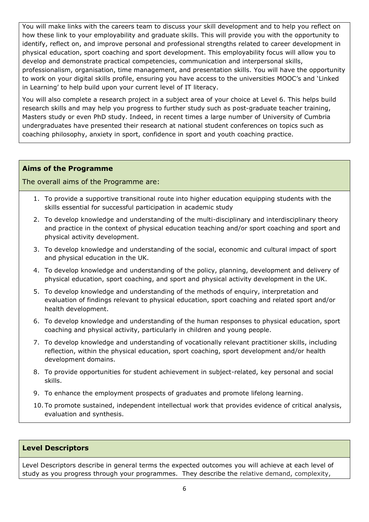You will make links with the careers team to discuss your skill development and to help you reflect on how these link to your employability and graduate skills. This will provide you with the opportunity to identify, reflect on, and improve personal and professional strengths related to career development in physical education, sport coaching and sport development. This employability focus will allow you to develop and demonstrate practical competencies, communication and interpersonal skills, professionalism, organisation, time management, and presentation skills. You will have the opportunity to work on your digital skills profile, ensuring you have access to the universities MOOC's and 'Linked in Learning' to help build upon your current level of IT literacy.

You will also complete a research project in a subject area of your choice at Level 6. This helps build research skills and may help you progress to further study such as post-graduate teacher training, Masters study or even PhD study. Indeed, in recent times a large number of University of Cumbria undergraduates have presented their research at national student conferences on topics such as coaching philosophy, anxiety in sport, confidence in sport and youth coaching practice.

## **Aims of the Programme**

## The overall aims of the Programme are:

- 1. To provide a supportive transitional route into higher education equipping students with the skills essential for successful participation in academic study
- 2. To develop knowledge and understanding of the multi-disciplinary and interdisciplinary theory and practice in the context of physical education teaching and/or sport coaching and sport and physical activity development.
- 3. To develop knowledge and understanding of the social, economic and cultural impact of sport and physical education in the UK.
- 4. To develop knowledge and understanding of the policy, planning, development and delivery of physical education, sport coaching, and sport and physical activity development in the UK.
- 5. To develop knowledge and understanding of the methods of enquiry, interpretation and evaluation of findings relevant to physical education, sport coaching and related sport and/or health development.
- 6. To develop knowledge and understanding of the human responses to physical education, sport coaching and physical activity, particularly in children and young people.
- 7. To develop knowledge and understanding of vocationally relevant practitioner skills, including reflection, within the physical education, sport coaching, sport development and/or health development domains.
- 8. To provide opportunities for student achievement in subject-related, key personal and social skills.
- 9. To enhance the employment prospects of graduates and promote lifelong learning.
- 10. To promote sustained, independent intellectual work that provides evidence of critical analysis, evaluation and synthesis.

## **Level Descriptors**

Level Descriptors describe in general terms the expected outcomes you will achieve at each level of study as you progress through your programmes. They describe the relative demand, complexity,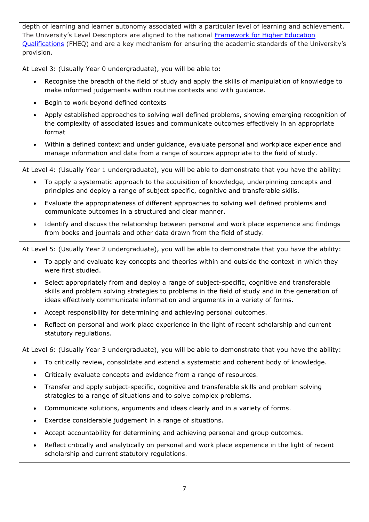depth of learning and learner autonomy associated with a particular level of learning and achievement. The University's Level Descriptors are aligned to the national Framework for Higher Education [Qualifications](http://www.qaa.ac.uk/en/Publications/Documents/qualifications-frameworks.pdf) (FHEQ) and are a key mechanism for ensuring the academic standards of the University's provision.

At Level 3: (Usually Year 0 undergraduate), you will be able to:

- Recognise the breadth of the field of study and apply the skills of manipulation of knowledge to make informed judgements within routine contexts and with guidance.
- Begin to work beyond defined contexts
- Apply established approaches to solving well defined problems, showing emerging recognition of the complexity of associated issues and communicate outcomes effectively in an appropriate format
- Within a defined context and under guidance, evaluate personal and workplace experience and manage information and data from a range of sources appropriate to the field of study.

At Level 4: (Usually Year 1 undergraduate), you will be able to demonstrate that you have the ability:

- To apply a systematic approach to the acquisition of knowledge, underpinning concepts and principles and deploy a range of subject specific, cognitive and transferable skills.
- Evaluate the appropriateness of different approaches to solving well defined problems and communicate outcomes in a structured and clear manner.
- Identify and discuss the relationship between personal and work place experience and findings from books and journals and other data drawn from the field of study.

At Level 5: (Usually Year 2 undergraduate), you will be able to demonstrate that you have the ability:

- To apply and evaluate key concepts and theories within and outside the context in which they were first studied.
- Select appropriately from and deploy a range of subject-specific, cognitive and transferable skills and problem solving strategies to problems in the field of study and in the generation of ideas effectively communicate information and arguments in a variety of forms.
- Accept responsibility for determining and achieving personal outcomes.
- Reflect on personal and work place experience in the light of recent scholarship and current statutory regulations.

At Level 6: (Usually Year 3 undergraduate), you will be able to demonstrate that you have the ability:

- To critically review, consolidate and extend a systematic and coherent body of knowledge.
- Critically evaluate concepts and evidence from a range of resources.
- Transfer and apply subject-specific, cognitive and transferable skills and problem solving strategies to a range of situations and to solve complex problems.
- Communicate solutions, arguments and ideas clearly and in a variety of forms.
- Exercise considerable judgement in a range of situations.
- Accept accountability for determining and achieving personal and group outcomes.
- Reflect critically and analytically on personal and work place experience in the light of recent scholarship and current statutory regulations.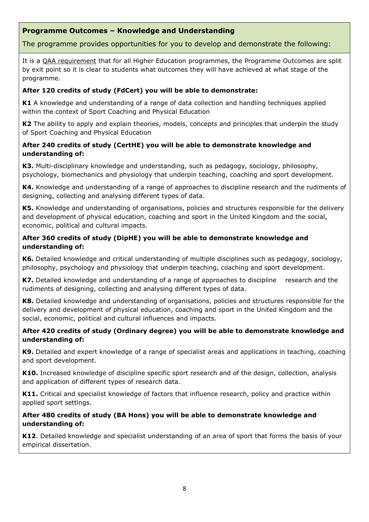## **Programme Outcomes – Knowledge and Understanding**

## The programme provides opportunities for you to develop and demonstrate the following:

It is a QAA requirement that for all Higher Education programmes, the Programme Outcomes are split by exit point so it is clear to students what outcomes they will have achieved at what stage of the programme.

#### **After 120 credits of study (FdCert) you will be able to demonstrate:**

**K1** A knowledge and understanding of a range of data collection and handling techniques applied within the context of Sport Coaching and Physical Education

**K2** The ability to apply and explain theories, models, concepts and principles that underpin the study of Sport Coaching and Physical Education

## **After 240 credits of study (CertHE) you will be able to demonstrate knowledge and understanding of:**

**K3.** Multi-disciplinary knowledge and understanding, such as pedagogy, sociology, philosophy, psychology, biomechanics and physiology that underpin teaching, coaching and sport development.

**K4.** Knowledge and understanding of a range of approaches to discipline research and the rudiments of designing, collecting and analysing different types of data.

**K5.** Knowledge and understanding of organisations, policies and structures responsible for the delivery and development of physical education, coaching and sport in the United Kingdom and the social, economic, political and cultural impacts.

#### **After 360 credits of study (DipHE) you will be able to demonstrate knowledge and understanding of:**

**K6.** Detailed knowledge and critical understanding of multiple disciplines such as pedagogy, sociology, philosophy, psychology and physiology that underpin teaching, coaching and sport development.

**K7.** Detailed knowledge and understanding of a range of approaches to discipline research and the rudiments of designing, collecting and analysing different types of data.

**K8.** Detailed knowledge and understanding of organisations, policies and structures responsible for the delivery and development of physical education, coaching and sport in the United Kingdom and the social, economic, political and cultural influences and impacts.

## **After 420 credits of study (Ordinary degree) you will be able to demonstrate knowledge and understanding of:**

**K9.** Detailed and expert knowledge of a range of specialist areas and applications in teaching, coaching and sport development.

**K10.** Increased knowledge of discipline specific sport research and of the design, collection, analysis and application of different types of research data.

**K11.** Critical and specialist knowledge of factors that influence research, policy and practice within applied sport settings.

#### **After 480 credits of study (BA Hons) you will be able to demonstrate knowledge and understanding of:**

**K12**. Detailed knowledge and specialist understanding of an area of sport that forms the basis of your empirical dissertation.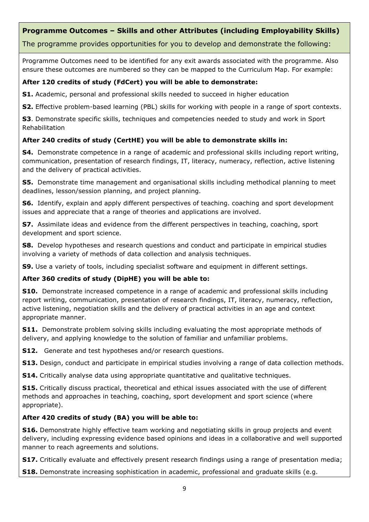# **Programme Outcomes – Skills and other Attributes (including Employability Skills)**

The programme provides opportunities for you to develop and demonstrate the following:

Programme Outcomes need to be identified for any exit awards associated with the programme. Also ensure these outcomes are numbered so they can be mapped to the Curriculum Map. For example:

## **After 120 credits of study (FdCert) you will be able to demonstrate:**

**S1.** Academic, personal and professional skills needed to succeed in higher education

**S2.** Effective problem-based learning (PBL) skills for working with people in a range of sport contexts.

**S3**. Demonstrate specific skills, techniques and competencies needed to study and work in Sport Rehabilitation

#### **After 240 credits of study (CertHE) you will be able to demonstrate skills in:**

**S4.** Demonstrate competence in a range of academic and professional skills including report writing, communication, presentation of research findings, IT, literacy, numeracy, reflection, active listening and the delivery of practical activities.

**S5.** Demonstrate time management and organisational skills including methodical planning to meet deadlines, lesson/session planning, and project planning.

**S6.** Identify, explain and apply different perspectives of teaching, coaching and sport development issues and appreciate that a range of theories and applications are involved.

**S7.** Assimilate ideas and evidence from the different perspectives in teaching, coaching, sport development and sport science.

**S8.** Develop hypotheses and research questions and conduct and participate in empirical studies involving a variety of methods of data collection and analysis techniques.

**S9.** Use a variety of tools, including specialist software and equipment in different settings.

#### **After 360 credits of study (DipHE) you will be able to:**

**S10.** Demonstrate increased competence in a range of academic and professional skills including report writing, communication, presentation of research findings, IT, literacy, numeracy, reflection, active listening, negotiation skills and the delivery of practical activities in an age and context appropriate manner.

**S11.** Demonstrate problem solving skills including evaluating the most appropriate methods of delivery, and applying knowledge to the solution of familiar and unfamiliar problems.

**S12.** Generate and test hypotheses and/or research questions.

**S13.** Design, conduct and participate in empirical studies involving a range of data collection methods.

**S14.** Critically analyse data using appropriate quantitative and qualitative techniques.

**S15.** Critically discuss practical, theoretical and ethical issues associated with the use of different methods and approaches in teaching, coaching, sport development and sport science (where appropriate).

#### **After 420 credits of study (BA) you will be able to:**

**S16.** Demonstrate highly effective team working and negotiating skills in group projects and event delivery, including expressing evidence based opinions and ideas in a collaborative and well supported manner to reach agreements and solutions.

**S17.** Critically evaluate and effectively present research findings using a range of presentation media;

**S18.** Demonstrate increasing sophistication in academic, professional and graduate skills (e.g.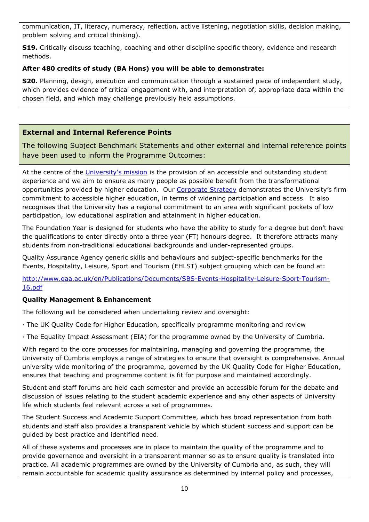communication, IT, literacy, numeracy, reflection, active listening, negotiation skills, decision making, problem solving and critical thinking).

**S19.** Critically discuss teaching, coaching and other discipline specific theory, evidence and research methods.

# **After 480 credits of study (BA Hons) you will be able to demonstrate:**

**S20.** Planning, design, execution and communication through a sustained piece of independent study, which provides evidence of critical engagement with, and interpretation of, appropriate data within the chosen field, and which may challenge previously held assumptions.

# **External and Internal Reference Points**

The following Subject Benchmark Statements and other external and internal reference points have been used to inform the Programme Outcomes:

At the centre of the [University's mission](http://www.cumbria.ac.uk/AboutUs/Services/HR/Vacancies/MissionVisionAndValues.aspx) is the provision of an accessible and outstanding student experience and we aim to ensure as many people as possible benefit from the transformational opportunities provided by higher education. Our [Corporate Strategy](http://www.cumbria.ac.uk/Public/VCO/Documents/Communications/Publications/Corporate-Strategy-2012-17.pdf) demonstrates the University's firm commitment to accessible higher education, in terms of widening participation and access. It also recognises that the University has a regional commitment to an area with significant pockets of low participation, low educational aspiration and attainment in higher education.

The Foundation Year is designed for students who have the ability to study for a degree but don't have the qualifications to enter directly onto a three year (FT) honours degree. It therefore attracts many students from non-traditional educational backgrounds and under-represented groups.

Quality Assurance Agency generic skills and behaviours and subject-specific benchmarks for the Events, Hospitality, Leisure, Sport and Tourism (EHLST) subject grouping which can be found at:

[http://www.qaa.ac.uk/en/Publications/Documents/SBS-Events-Hospitality-Leisure-Sport-Tourism-](http://www.qaa.ac.uk/en/Publications/Documents/SBS-Events-Hospitality-Leisure-Sport-Tourism-16.pdf)[16.pdf](http://www.qaa.ac.uk/en/Publications/Documents/SBS-Events-Hospitality-Leisure-Sport-Tourism-16.pdf)

# **Quality Management & Enhancement**

The following will be considered when undertaking review and oversight:

- · The UK Quality Code for Higher Education, specifically programme monitoring and review
- · The Equality Impact Assessment (EIA) for the programme owned by the University of Cumbria.

With regard to the core processes for maintaining, managing and governing the programme, the University of Cumbria employs a range of strategies to ensure that oversight is comprehensive. Annual university wide monitoring of the programme, governed by the UK Quality Code for Higher Education, ensures that teaching and programme content is fit for purpose and maintained accordingly.

Student and staff forums are held each semester and provide an accessible forum for the debate and discussion of issues relating to the student academic experience and any other aspects of University life which students feel relevant across a set of programmes.

The Student Success and Academic Support Committee, which has broad representation from both students and staff also provides a transparent vehicle by which student success and support can be guided by best practice and identified need.

All of these systems and processes are in place to maintain the quality of the programme and to provide governance and oversight in a transparent manner so as to ensure quality is translated into practice. All academic programmes are owned by the University of Cumbria and, as such, they will remain accountable for academic quality assurance as determined by internal policy and processes,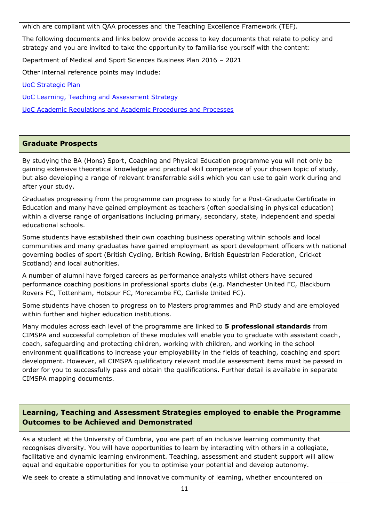which are compliant with QAA processes and the Teaching Excellence Framework (TEF).

The following documents and links below provide access to key documents that relate to policy and strategy and you are invited to take the opportunity to familiarise yourself with the content:

Department of Medical and Sport Sciences Business Plan 2016 – 2021

Other internal reference points may include:

[UoC Strategic Plan](https://www.cumbria.ac.uk/about/publications/strategic-plan/)

[UoC Learning, Teaching and Assessment Strategy](https://www.cumbria.ac.uk/media/university-of-cumbria-website/content-assets/public/aqs/documents/LearningTeachingAssessmentStrategy.pdf)

[UoC Academic Regulations and Academic Procedures and Processes](https://www.cumbria.ac.uk/about/organisation/professional-services/academic-quality-and-development/academic-regulations/)

## **Graduate Prospects**

By studying the BA (Hons) Sport, Coaching and Physical Education programme you will not only be gaining extensive theoretical knowledge and practical skill competence of your chosen topic of study, but also developing a range of relevant transferrable skills which you can use to gain work during and after your study.

Graduates progressing from the programme can progress to study for a Post-Graduate Certificate in Education and many have gained employment as teachers (often specialising in physical education) within a diverse range of organisations including primary, secondary, state, independent and special educational schools.

Some students have established their own coaching business operating within schools and local communities and many graduates have gained employment as sport development officers with national governing bodies of sport (British Cycling, British Rowing, British Equestrian Federation, Cricket Scotland) and local authorities.

A number of alumni have forged careers as performance analysts whilst others have secured performance coaching positions in professional sports clubs (e.g. Manchester United FC, Blackburn Rovers FC, Tottenham, Hotspur FC, Morecambe FC, Carlisle United FC).

Some students have chosen to progress on to Masters programmes and PhD study and are employed within further and higher education institutions.

Many modules across each level of the programme are linked to **5 professional standards** from CIMSPA and successful completion of these modules will enable you to graduate with assistant coach, coach, safeguarding and protecting children, working with children, and working in the school environment qualifications to increase your employability in the fields of teaching, coaching and sport development. However, all CIMSPA qualificatory relevant module assessment items must be passed in order for you to successfully pass and obtain the qualifications. Further detail is available in separate CIMSPA mapping documents.

## **Learning, Teaching and Assessment Strategies employed to enable the Programme Outcomes to be Achieved and Demonstrated**

As a student at the University of Cumbria, you are part of an inclusive learning community that recognises diversity. You will have opportunities to learn by interacting with others in a collegiate, facilitative and dynamic learning environment. Teaching, assessment and student support will allow equal and equitable opportunities for you to optimise your potential and develop autonomy.

We seek to create a stimulating and innovative community of learning, whether encountered on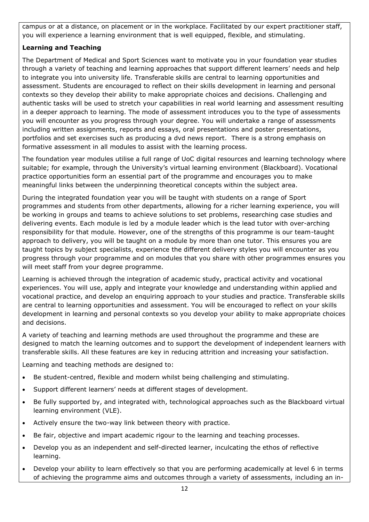campus or at a distance, on placement or in the workplace. Facilitated by our expert practitioner staff, you will experience a learning environment that is well equipped, flexible, and stimulating.

# **Learning and Teaching**

The Department of Medical and Sport Sciences want to motivate you in your foundation year studies through a variety of teaching and learning approaches that support different learners' needs and help to integrate you into university life. Transferable skills are central to learning opportunities and assessment. Students are encouraged to reflect on their skills development in learning and personal contexts so they develop their ability to make appropriate choices and decisions. Challenging and authentic tasks will be used to stretch your capabilities in real world learning and assessment resulting in a deeper approach to learning. The mode of assessment introduces you to the type of assessments you will encounter as you progress through your degree. You will undertake a range of assessments including written assignments, reports and essays, oral presentations and poster presentations, portfolios and set exercises such as producing a dvd news report. There is a strong emphasis on formative assessment in all modules to assist with the learning process.

The foundation year modules utilise a full range of UoC digital resources and learning technology where suitable; for example, through the University's virtual learning environment (Blackboard). Vocational practice opportunities form an essential part of the programme and encourages you to make meaningful links between the underpinning theoretical concepts within the subject area.

During the integrated foundation year you will be taught with students on a range of Sport programmes and students from other departments, allowing for a richer learning experience, you will be working in groups and teams to achieve solutions to set problems, researching case studies and delivering events. Each module is led by a module leader which is the lead tutor with over-arching responsibility for that module. However, one of the strengths of this programme is our team-taught approach to delivery, you will be taught on a module by more than one tutor. This ensures you are taught topics by subject specialists, experience the different delivery styles you will encounter as you progress through your programme and on modules that you share with other programmes ensures you will meet staff from your degree programme.

Learning is achieved through the integration of academic study, practical activity and vocational experiences. You will use, apply and integrate your knowledge and understanding within applied and vocational practice, and develop an enquiring approach to your studies and practice. Transferable skills are central to learning opportunities and assessment. You will be encouraged to reflect on your skills development in learning and personal contexts so you develop your ability to make appropriate choices and decisions.

A variety of teaching and learning methods are used throughout the programme and these are designed to match the learning outcomes and to support the development of independent learners with transferable skills. All these features are key in reducing attrition and increasing your satisfaction.

Learning and teaching methods are designed to:

- Be student-centred, flexible and modern whilst being challenging and stimulating.
- Support different learners' needs at different stages of development.
- Be fully supported by, and integrated with, technological approaches such as the Blackboard virtual learning environment (VLE).
- Actively ensure the two-way link between theory with practice.
- Be fair, objective and impart academic rigour to the learning and teaching processes.
- Develop you as an independent and self-directed learner, inculcating the ethos of reflective learning.
- Develop your ability to learn effectively so that you are performing academically at level 6 in terms of achieving the programme aims and outcomes through a variety of assessments, including an in-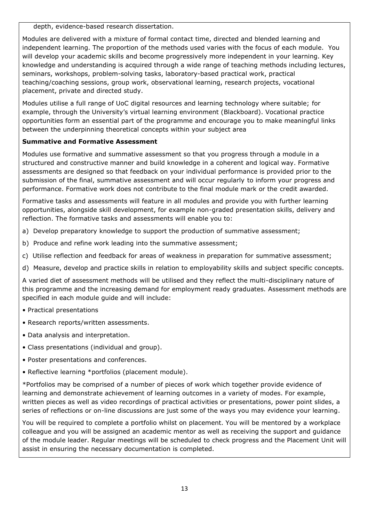depth, evidence-based research dissertation.

Modules are delivered with a mixture of formal contact time, directed and blended learning and independent learning. The proportion of the methods used varies with the focus of each module. You will develop your academic skills and become progressively more independent in your learning. Key knowledge and understanding is acquired through a wide range of teaching methods including lectures, seminars, workshops, problem-solving tasks, laboratory-based practical work, practical teaching/coaching sessions, group work, observational learning, research projects, vocational placement, private and directed study.

Modules utilise a full range of UoC digital resources and learning technology where suitable; for example, through the University's virtual learning environment (Blackboard). Vocational practice opportunities form an essential part of the programme and encourage you to make meaningful links between the underpinning theoretical concepts within your subject area

# **Summative and Formative Assessment**

Modules use formative and summative assessment so that you progress through a module in a structured and constructive manner and build knowledge in a coherent and logical way. Formative assessments are designed so that feedback on your individual performance is provided prior to the submission of the final, summative assessment and will occur regularly to inform your progress and performance. Formative work does not contribute to the final module mark or the credit awarded.

Formative tasks and assessments will feature in all modules and provide you with further learning opportunities, alongside skill development, for example non-graded presentation skills, delivery and reflection. The formative tasks and assessments will enable you to:

- a) Develop preparatory knowledge to support the production of summative assessment;
- b) Produce and refine work leading into the summative assessment;
- c) Utilise reflection and feedback for areas of weakness in preparation for summative assessment;
- d) Measure, develop and practice skills in relation to employability skills and subject specific concepts.

A varied diet of assessment methods will be utilised and they reflect the multi-disciplinary nature of this programme and the increasing demand for employment ready graduates. Assessment methods are specified in each module guide and will include:

- Practical presentations
- Research reports/written assessments.
- Data analysis and interpretation.
- Class presentations (individual and group).
- Poster presentations and conferences.
- Reflective learning \*portfolios (placement module).

\*Portfolios may be comprised of a number of pieces of work which together provide evidence of learning and demonstrate achievement of learning outcomes in a variety of modes. For example, written pieces as well as video recordings of practical activities or presentations, power point slides, a series of reflections or on-line discussions are just some of the ways you may evidence your learning.

You will be required to complete a portfolio whilst on placement. You will be mentored by a workplace colleague and you will be assigned an academic mentor as well as receiving the support and guidance of the module leader. Regular meetings will be scheduled to check progress and the Placement Unit will assist in ensuring the necessary documentation is completed.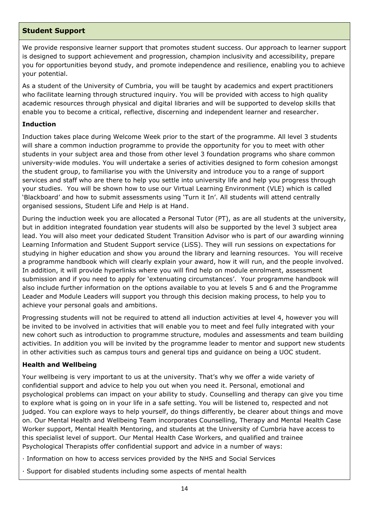## **Student Support**

We provide responsive learner support that promotes student success. Our approach to learner support is designed to support achievement and progression, champion inclusivity and accessibility, prepare you for opportunities beyond study, and promote independence and resilience, enabling you to achieve your potential.

As a student of the University of Cumbria, you will be taught by academics and expert practitioners who facilitate learning through structured inquiry. You will be provided with access to high quality academic resources through physical and digital libraries and will be supported to develop skills that enable you to become a critical, reflective, discerning and independent learner and researcher.

#### **Induction**

Induction takes place during Welcome Week prior to the start of the programme. All level 3 students will share a common induction programme to provide the opportunity for you to meet with other students in your subject area and those from other level 3 foundation programs who share common university-wide modules. You will undertake a series of activities designed to form cohesion amongst the student group, to familiarise you with the University and introduce you to a range of support services and staff who are there to help you settle into university life and help you progress through your studies. You will be shown how to use our Virtual Learning Environment (VLE) which is called 'Blackboard' and how to submit assessments using 'Turn it In'. All students will attend centrally organised sessions, Student Life and Help is at Hand.

During the induction week you are allocated a Personal Tutor (PT), as are all students at the university, but in addition integrated foundation year students will also be supported by the level 3 subject area lead. You will also meet your dedicated Student Transition Advisor who is part of our awarding winning Learning Information and Student Support service (LiSS). They will run sessions on expectations for studying in higher education and show you around the library and learning resources. You will receive a programme handbook which will clearly explain your award, how it will run, and the people involved. In addition, it will provide hyperlinks where you will find help on module enrolment, assessment submission and if you need to apply for 'extenuating circumstances'. Your programme handbook will also include further information on the options available to you at levels 5 and 6 and the Programme Leader and Module Leaders will support you through this decision making process, to help you to achieve your personal goals and ambitions.

Progressing students will not be required to attend all induction activities at level 4, however you will be invited to be involved in activities that will enable you to meet and feel fully integrated with your new cohort such as introduction to programme structure, modules and assessments and team building activities. In addition you will be invited by the programme leader to mentor and support new students in other activities such as campus tours and general tips and guidance on being a UOC student.

#### **Health and Wellbeing**

Your wellbeing is very important to us at the university. That's why we offer a wide variety of confidential support and advice to help you out when you need it. Personal, emotional and psychological problems can impact on your ability to study. Counselling and therapy can give you time to explore what is going on in your life in a safe setting. You will be listened to, respected and not judged. You can explore ways to help yourself, do things differently, be clearer about things and move on. Our Mental Health and Wellbeing Team incorporates Counselling, Therapy and Mental Health Case Worker support, Mental Health Mentoring, and students at the University of Cumbria have access to this specialist level of support. Our Mental Health Case Workers, and qualified and trainee Psychological Therapists offer confidential support and advice in a number of ways:

· Information on how to access services provided by the NHS and Social Services

· Support for disabled students including some aspects of mental health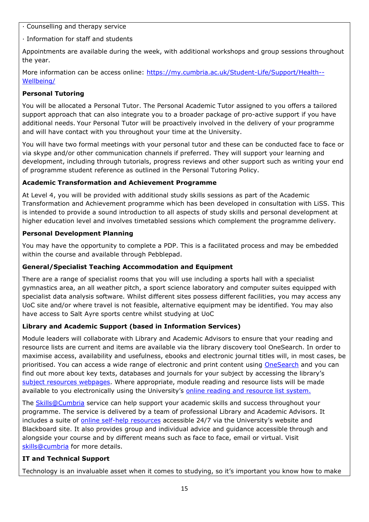· Counselling and therapy service

· Information for staff and students

Appointments are available during the week, with additional workshops and group sessions throughout the year.

More information can be access online: [https://my.cumbria.ac.uk/Student-Life/Support/Health--](https://my.cumbria.ac.uk/Student-Life/Support/Health--Wellbeing/) [Wellbeing/](https://my.cumbria.ac.uk/Student-Life/Support/Health--Wellbeing/)

## **Personal Tutoring**

You will be allocated a Personal Tutor. The Personal Academic Tutor assigned to you offers a tailored support approach that can also integrate you to a broader package of pro-active support if you have additional needs. Your Personal Tutor will be proactively involved in the delivery of your programme and will have contact with you throughout your time at the University.

You will have two formal meetings with your personal tutor and these can be conducted face to face or via skype and/or other communication channels if preferred. They will support your learning and development, including through tutorials, progress reviews and other support such as writing your end of programme student reference as outlined in the Personal Tutoring Policy.

## **Academic Transformation and Achievement Programme**

At Level 4, you will be provided with additional study skills sessions as part of the Academic Transformation and Achievement programme which has been developed in consultation with LiSS. This is intended to provide a sound introduction to all aspects of study skills and personal development at higher education level and involves timetabled sessions which complement the programme delivery.

## **Personal Development Planning**

You may have the opportunity to complete a PDP. This is a facilitated process and may be embedded within the course and available through Pebblepad.

# **General/Specialist Teaching Accommodation and Equipment**

There are a range of specialist rooms that you will use including a sports hall with a specialist gymnastics area, an all weather pitch, a sport science laboratory and computer suites equipped with specialist data analysis software. Whilst different sites possess different facilities, you may access any UoC site and/or where travel is not feasible, alternative equipment may be identified. You may also have access to Salt Ayre sports centre whilst studying at UoC

# **Library and Academic Support (based in Information Services)**

Module leaders will collaborate with Library and Academic Advisors to ensure that your reading and resource lists are current and items are available via the library discovery tool OneSearch. In order to maximise access, availability and usefulness, ebooks and electronic journal titles will, in most cases, be prioritised. You can access a wide range of electronic and print content using [OneSearch](http://cumbria-primo.hosted.exlibrisgroup.com/primo_library/libweb/action/search.do?vid=44UOC_VU1) and you can find out more about key texts, databases and journals for your subject by accessing the library's [subject resources webpages.](http://my.cumbria.ac.uk/StudentLife/Learning/Resources/Subjects/Home.aspx) Where appropriate, module reading and resource lists will be made available to you electronically using the University's [online reading and resource list system.](https://eu.alma.exlibrisgroup.com/leganto/readinglist/lists)

The **Skills@Cumbria** service can help support your academic skills and success throughout your programme. The service is delivered by a team of professional Library and Academic Advisors. It includes a suite of [online self-help resources](https://my.cumbria.ac.uk/Student-Life/Learning/Skills-Cumbria/) accessible 24/7 via the University's website and Blackboard site. It also provides group and individual advice and guidance accessible through and alongside your course and by different means such as face to face, email or virtual. Visit [skills@cumbria](https://my.cumbria.ac.uk/Student-Life/Learning/Skills-Cumbria/) for more details.

# **IT and Technical Support**

Technology is an invaluable asset when it comes to studying, so it's important you know how to make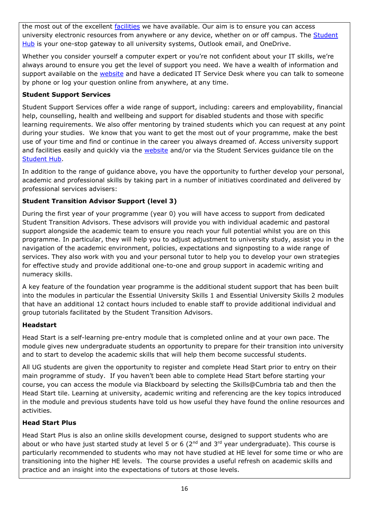the most out of the excellent [facilities](https://www.cumbria.ac.uk/student-life/facilities/it-facilities/) we have available. Our aim is to ensure you can access university electronic resources from anywhere or any device, whether on or off campus. The Student [Hub](https://universityofcumbria.mydaycloud.com/dashboard/allsorts) is your one-stop gateway to all university systems, Outlook email, and OneDrive.

Whether you consider yourself a computer expert or you're not confident about your IT skills, we're always around to ensure you get the level of support you need. We have a wealth of information and support available on the [website](https://my.cumbria.ac.uk/Student-Life/it-media/) and have a dedicated IT Service Desk where you can talk to someone by phone or log your question online from anywhere, at any time.

## **Student Support Services**

Student Support Services offer a wide range of support, including: careers and employability, financial help, counselling, health and wellbeing and support for disabled students and those with specific learning requirements. We also offer mentoring by trained students which you can request at any point during your studies. We know that you want to get the most out of your programme, make the best use of your time and find or continue in the career you always dreamed of. Access university support and facilities easily and quickly via the [website](https://my.cumbria.ac.uk/) and/or via the Student Services guidance tile on the [Student Hub.](https://universityofcumbria.mydaycloud.com/dashboard/staff-home)

In addition to the range of guidance above, you have the opportunity to further develop your personal, academic and professional skills by taking part in a number of initiatives coordinated and delivered by professional services advisers:

# **Student Transition Advisor Support (level 3)**

During the first year of your programme (year 0) you will have access to support from dedicated Student Transition Advisors. These advisors will provide you with individual academic and pastoral support alongside the academic team to ensure you reach your full potential whilst you are on this programme. In particular, they will help you to adjust adjustment to university study, assist you in the navigation of the academic environment, policies, expectations and signposting to a wide range of services. They also work with you and your personal tutor to help you to develop your own strategies for effective study and provide additional one-to-one and group support in academic writing and numeracy skills.

A key feature of the foundation year programme is the additional student support that has been built into the modules in particular the Essential University Skills 1 and Essential University Skills 2 modules that have an additional 12 contact hours included to enable staff to provide additional individual and group tutorials facilitated by the Student Transition Advisors.

# **Headstart**

Head Start is a self-learning pre-entry module that is completed online and at your own pace. The module gives new undergraduate students an opportunity to prepare for their transition into university and to start to develop the academic skills that will help them become successful students.

All UG students are given the opportunity to register and complete Head Start prior to entry on their main programme of study. If you haven't been able to complete Head Start before starting your course, you can access the module via Blackboard by selecting the Skills@Cumbria tab and then the Head Start tile. Learning at university, academic writing and referencing are the key topics introduced in the module and previous students have told us how useful they have found the online resources and activities.

# **Head Start Plus**

Head Start Plus is also an online skills development course, designed to support students who are about or who have just started study at level 5 or 6 ( $2<sup>nd</sup>$  and  $3<sup>rd</sup>$  year undergraduate). This course is particularly recommended to students who may not have studied at HE level for some time or who are transitioning into the higher HE levels. The course provides a useful refresh on academic skills and practice and an insight into the expectations of tutors at those levels.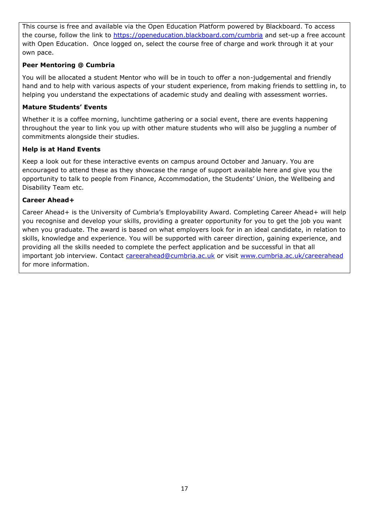This course is free and available via the Open Education Platform powered by Blackboard. To access the course, follow the link to<https://openeducation.blackboard.com/cumbria> and set-up a free account with Open Education. Once logged on, select the course free of charge and work through it at your own pace.

## **Peer Mentoring @ Cumbria**

You will be allocated a student Mentor who will be in touch to offer a non-judgemental and friendly hand and to help with various aspects of your student experience, from making friends to settling in, to helping you understand the expectations of academic study and dealing with assessment worries.

#### **Mature Students' Events**

Whether it is a coffee morning, lunchtime gathering or a social event, there are events happening throughout the year to link you up with other mature students who will also be juggling a number of commitments alongside their studies.

#### **Help is at Hand Events**

Keep a look out for these interactive events on campus around October and January. You are encouraged to attend these as they showcase the range of support available here and give you the opportunity to talk to people from Finance, Accommodation, the Students' Union, the Wellbeing and Disability Team etc.

#### **Career Ahead+**

Career Ahead+ is the University of Cumbria's Employability Award. Completing Career Ahead+ will help you recognise and develop your skills, providing a greater opportunity for you to get the job you want when you graduate. The award is based on what employers look for in an ideal candidate, in relation to skills, knowledge and experience. You will be supported with career direction, gaining experience, and providing all the skills needed to complete the perfect application and be successful in that all important job interview. Contact [careerahead@cumbria.ac.uk](mailto:careerahead@cumbria.ac.uk) or visit [www.cumbria.ac.uk/careerahead](http://www.cumbria.ac.uk/careerahead) for more information.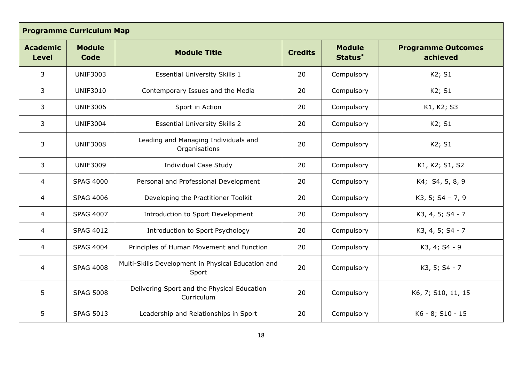| <b>Programme Curriculum Map</b> |                       |                                                             |                |                          |                                       |
|---------------------------------|-----------------------|-------------------------------------------------------------|----------------|--------------------------|---------------------------------------|
| <b>Academic</b><br><b>Level</b> | <b>Module</b><br>Code | <b>Module Title</b>                                         | <b>Credits</b> | <b>Module</b><br>Status* | <b>Programme Outcomes</b><br>achieved |
| 3                               | <b>UNIF3003</b>       | <b>Essential University Skills 1</b>                        | 20             | Compulsory               | K2; S1                                |
| 3                               | <b>UNIF3010</b>       | Contemporary Issues and the Media                           | 20             | Compulsory               | K2; S1                                |
| $\overline{3}$                  | <b>UNIF3006</b>       | Sport in Action                                             | 20             | Compulsory               | K1, K2; S3                            |
| 3                               | <b>UNIF3004</b>       | <b>Essential University Skills 2</b>                        | 20             | Compulsory               | K2; S1                                |
| 3                               | <b>UNIF3008</b>       | Leading and Managing Individuals and<br>Organisations       | 20             | Compulsory               | K2; S1                                |
| 3                               | <b>UNIF3009</b>       | <b>Individual Case Study</b>                                | 20             | Compulsory               | K1, K2; S1, S2                        |
| $\overline{4}$                  | <b>SPAG 4000</b>      | Personal and Professional Development                       | 20             | Compulsory               | K4; S4, 5, 8, 9                       |
| $\overline{4}$                  | <b>SPAG 4006</b>      | Developing the Practitioner Toolkit                         | 20             | Compulsory               | $K3, 5; S4 - 7, 9$                    |
| $\overline{4}$                  | <b>SPAG 4007</b>      | Introduction to Sport Development                           | 20             | Compulsory               | K3, 4, 5; S4 - 7                      |
| $\overline{4}$                  | <b>SPAG 4012</b>      | Introduction to Sport Psychology                            | 20             | Compulsory               | K3, 4, 5; S4 - 7                      |
| $\overline{4}$                  | <b>SPAG 4004</b>      | Principles of Human Movement and Function                   | 20             | Compulsory               | K3, 4; S4 - 9                         |
| $\overline{4}$                  | <b>SPAG 4008</b>      | Multi-Skills Development in Physical Education and<br>Sport | 20             | Compulsory               | K3, 5; S4 - 7                         |
| 5                               | <b>SPAG 5008</b>      | Delivering Sport and the Physical Education<br>Curriculum   | 20             | Compulsory               | K6, 7; S10, 11, 15                    |
| 5                               | <b>SPAG 5013</b>      | Leadership and Relationships in Sport                       | 20             | Compulsory               | K6 - 8; S10 - 15                      |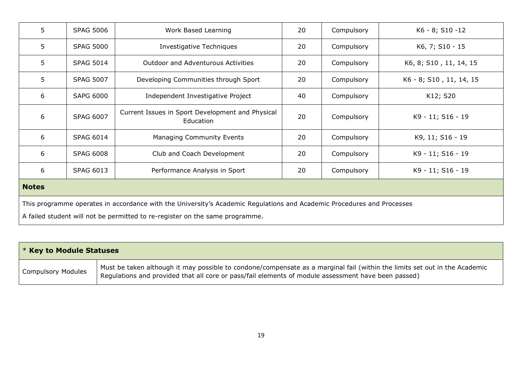| 5                                                                                                                      | <b>SPAG 5006</b>                                                             | Work Based Learning                                           | 20 | Compulsory | K6 - 8; S10 -12         |  |
|------------------------------------------------------------------------------------------------------------------------|------------------------------------------------------------------------------|---------------------------------------------------------------|----|------------|-------------------------|--|
|                                                                                                                        |                                                                              |                                                               |    |            |                         |  |
| 5                                                                                                                      | <b>SPAG 5000</b>                                                             | Investigative Techniques                                      | 20 | Compulsory | K6, 7; S10 - 15         |  |
| 5                                                                                                                      | <b>SPAG 5014</b>                                                             | <b>Outdoor and Adventurous Activities</b>                     | 20 | Compulsory | K6, 8; S10, 11, 14, 15  |  |
| 5                                                                                                                      | <b>SPAG 5007</b>                                                             | Developing Communities through Sport                          | 20 | Compulsory | K6 - 8; S10, 11, 14, 15 |  |
| 6                                                                                                                      | <b>SAPG 6000</b>                                                             | Independent Investigative Project                             | 40 | Compulsory | K12; S20                |  |
| 6                                                                                                                      | <b>SPAG 6007</b>                                                             | Current Issues in Sport Development and Physical<br>Education | 20 | Compulsory | K9 - 11; S16 - 19       |  |
| 6                                                                                                                      | <b>SPAG 6014</b>                                                             | Managing Community Events                                     | 20 | Compulsory | K9, 11; S16 - 19        |  |
| 6                                                                                                                      | <b>SPAG 6008</b>                                                             | Club and Coach Development                                    | 20 | Compulsory | K9 - 11; S16 - 19       |  |
| 6                                                                                                                      | <b>SPAG 6013</b>                                                             | Performance Analysis in Sport                                 | 20 | Compulsory | K9 - 11; S16 - 19       |  |
| <b>Notes</b>                                                                                                           |                                                                              |                                                               |    |            |                         |  |
| This programme operates in accordance with the University's Academic Regulations and Academic Procedures and Processes |                                                                              |                                                               |    |            |                         |  |
|                                                                                                                        | A failed student will not be permitted to re-register on the same programme. |                                                               |    |            |                         |  |

| $\mathsf{I}$ * Key to Module Statuses |                                                                                                                                                                                                                                   |
|---------------------------------------|-----------------------------------------------------------------------------------------------------------------------------------------------------------------------------------------------------------------------------------|
| <b>Compulsory Modules</b>             | Must be taken although it may possible to condone/compensate as a marginal fail (within the limits set out in the Academic<br>Regulations and provided that all core or pass/fail elements of module assessment have been passed) |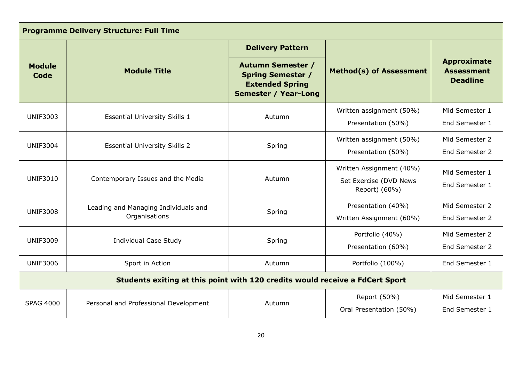| <b>Programme Delivery Structure: Full Time</b> |                                                                              |                                                                                                               |                                                                     |                                                            |  |  |
|------------------------------------------------|------------------------------------------------------------------------------|---------------------------------------------------------------------------------------------------------------|---------------------------------------------------------------------|------------------------------------------------------------|--|--|
|                                                |                                                                              | <b>Delivery Pattern</b>                                                                                       |                                                                     |                                                            |  |  |
| <b>Module</b><br>Code                          | <b>Module Title</b>                                                          | <b>Autumn Semester /</b><br><b>Spring Semester /</b><br><b>Extended Spring</b><br><b>Semester / Year-Long</b> | <b>Method(s) of Assessment</b>                                      | <b>Approximate</b><br><b>Assessment</b><br><b>Deadline</b> |  |  |
| <b>UNIF3003</b>                                | <b>Essential University Skills 1</b>                                         | Autumn                                                                                                        | Written assignment (50%)<br>Presentation (50%)                      | Mid Semester 1<br>End Semester 1                           |  |  |
| <b>UNIF3004</b>                                | <b>Essential University Skills 2</b>                                         | Spring                                                                                                        | Written assignment (50%)<br>Presentation (50%)                      | Mid Semester 2<br>End Semester 2                           |  |  |
| <b>UNIF3010</b>                                | Contemporary Issues and the Media                                            | Autumn                                                                                                        | Written Assignment (40%)<br>Set Exercise (DVD News<br>Report) (60%) | Mid Semester 1<br>End Semester 1                           |  |  |
| <b>UNIF3008</b>                                | Leading and Managing Individuals and<br>Organisations                        | Spring                                                                                                        | Presentation (40%)<br>Written Assignment (60%)                      | Mid Semester 2<br>End Semester 2                           |  |  |
| <b>UNIF3009</b>                                | <b>Individual Case Study</b>                                                 | Spring                                                                                                        | Portfolio (40%)<br>Presentation (60%)                               | Mid Semester 2<br>End Semester 2                           |  |  |
| <b>UNIF3006</b>                                | Sport in Action                                                              | Autumn                                                                                                        | Portfolio (100%)                                                    | End Semester 1                                             |  |  |
|                                                | Students exiting at this point with 120 credits would receive a FdCert Sport |                                                                                                               |                                                                     |                                                            |  |  |
| <b>SPAG 4000</b>                               | Personal and Professional Development                                        | Autumn                                                                                                        | Report (50%)<br>Oral Presentation (50%)                             | Mid Semester 1<br>End Semester 1                           |  |  |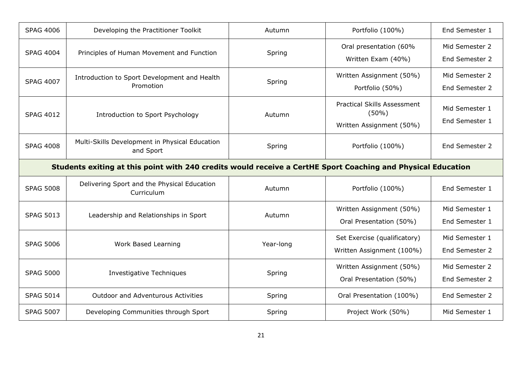| <b>SPAG 4006</b> | Developing the Practitioner Toolkit                                                                          | Autumn    | Portfolio (100%)                                                        | End Semester 1                   |
|------------------|--------------------------------------------------------------------------------------------------------------|-----------|-------------------------------------------------------------------------|----------------------------------|
| <b>SPAG 4004</b> | Principles of Human Movement and Function                                                                    | Spring    | Oral presentation (60%<br>Written Exam (40%)                            | Mid Semester 2<br>End Semester 2 |
| <b>SPAG 4007</b> | Introduction to Sport Development and Health<br>Promotion                                                    | Spring    | Written Assignment (50%)<br>Portfolio (50%)                             | Mid Semester 2<br>End Semester 2 |
| <b>SPAG 4012</b> | Introduction to Sport Psychology                                                                             | Autumn    | <b>Practical Skills Assessment</b><br>(50%)<br>Written Assignment (50%) | Mid Semester 1<br>End Semester 1 |
| <b>SPAG 4008</b> | Multi-Skills Development in Physical Education<br>and Sport                                                  | Spring    | Portfolio (100%)                                                        | End Semester 2                   |
|                  | Students exiting at this point with 240 credits would receive a CertHE Sport Coaching and Physical Education |           |                                                                         |                                  |
| <b>SPAG 5008</b> | Delivering Sport and the Physical Education<br>Curriculum                                                    | Autumn    | Portfolio (100%)                                                        | End Semester 1                   |
| <b>SPAG 5013</b> | Leadership and Relationships in Sport                                                                        | Autumn    | Written Assignment (50%)<br>Oral Presentation (50%)                     | Mid Semester 1<br>End Semester 1 |
| <b>SPAG 5006</b> | Work Based Learning                                                                                          | Year-long | Set Exercise (qualificatory)<br>Written Assignment (100%)               | Mid Semester 1<br>End Semester 2 |
| <b>SPAG 5000</b> | Investigative Techniques                                                                                     | Spring    | Written Assignment (50%)<br>Oral Presentation (50%)                     | Mid Semester 2<br>End Semester 2 |
|                  |                                                                                                              |           |                                                                         |                                  |
| <b>SPAG 5014</b> | <b>Outdoor and Adventurous Activities</b>                                                                    | Spring    | Oral Presentation (100%)                                                | End Semester 2                   |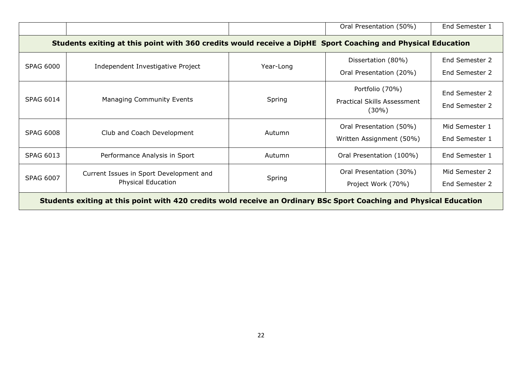|                                                                                                                    |                                                                                                             |           | Oral Presentation (50%)                                           | End Semester 1                   |  |  |  |
|--------------------------------------------------------------------------------------------------------------------|-------------------------------------------------------------------------------------------------------------|-----------|-------------------------------------------------------------------|----------------------------------|--|--|--|
|                                                                                                                    | Students exiting at this point with 360 credits would receive a DipHE Sport Coaching and Physical Education |           |                                                                   |                                  |  |  |  |
| <b>SPAG 6000</b>                                                                                                   | Independent Investigative Project                                                                           | Year-Long | Dissertation (80%)<br>Oral Presentation (20%)                     | End Semester 2<br>End Semester 2 |  |  |  |
| <b>SPAG 6014</b>                                                                                                   | Managing Community Events                                                                                   | Spring    | Portfolio (70%)<br><b>Practical Skills Assessment</b><br>$(30\%)$ | End Semester 2<br>End Semester 2 |  |  |  |
| <b>SPAG 6008</b>                                                                                                   | Club and Coach Development                                                                                  | Autumn    | Oral Presentation (50%)<br>Written Assignment (50%)               | Mid Semester 1<br>End Semester 1 |  |  |  |
| <b>SPAG 6013</b>                                                                                                   | Performance Analysis in Sport                                                                               | Autumn    | Oral Presentation (100%)                                          | End Semester 1                   |  |  |  |
| <b>SPAG 6007</b>                                                                                                   | Current Issues in Sport Development and<br><b>Physical Education</b>                                        | Spring    | Oral Presentation (30%)<br>Project Work (70%)                     | Mid Semester 2<br>End Semester 2 |  |  |  |
| Students exiting at this point with 420 credits wold receive an Ordinary BSc Sport Coaching and Physical Education |                                                                                                             |           |                                                                   |                                  |  |  |  |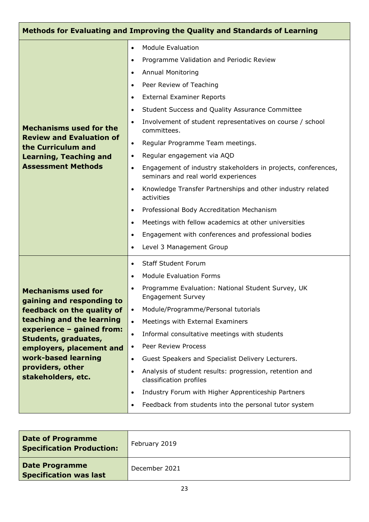| Methods for Evaluating and Improving the Quality and Standards of Learning                                                                                                                                                                                           |                                                                                                                                                                                                                                                                                                                                                                                                                                                                                                                                                                                                                                                                                                                                                                                                                                                                                                                                                 |  |  |  |  |
|----------------------------------------------------------------------------------------------------------------------------------------------------------------------------------------------------------------------------------------------------------------------|-------------------------------------------------------------------------------------------------------------------------------------------------------------------------------------------------------------------------------------------------------------------------------------------------------------------------------------------------------------------------------------------------------------------------------------------------------------------------------------------------------------------------------------------------------------------------------------------------------------------------------------------------------------------------------------------------------------------------------------------------------------------------------------------------------------------------------------------------------------------------------------------------------------------------------------------------|--|--|--|--|
| <b>Mechanisms used for the</b><br><b>Review and Evaluation of</b><br>the Curriculum and<br><b>Learning, Teaching and</b><br><b>Assessment Methods</b>                                                                                                                | <b>Module Evaluation</b><br>$\bullet$<br>Programme Validation and Periodic Review<br>$\bullet$<br><b>Annual Monitoring</b><br>$\bullet$<br>Peer Review of Teaching<br>$\bullet$<br><b>External Examiner Reports</b><br>$\bullet$<br>Student Success and Quality Assurance Committee<br>$\bullet$<br>Involvement of student representatives on course / school<br>$\bullet$<br>committees.<br>Regular Programme Team meetings.<br>$\bullet$<br>Regular engagement via AQD<br>$\bullet$<br>Engagement of industry stakeholders in projects, conferences,<br>$\bullet$<br>seminars and real world experiences<br>Knowledge Transfer Partnerships and other industry related<br>$\bullet$<br>activities<br>Professional Body Accreditation Mechanism<br>$\bullet$<br>Meetings with fellow academics at other universities<br>$\bullet$<br>Engagement with conferences and professional bodies<br>$\bullet$<br>Level 3 Management Group<br>$\bullet$ |  |  |  |  |
| <b>Mechanisms used for</b><br>gaining and responding to<br>feedback on the quality of<br>teaching and the learning<br>experience - gained from:<br>Students, graduates,<br>employers, placement and<br>work-based learning<br>providers, other<br>stakeholders, etc. | <b>Staff Student Forum</b><br>$\bullet$<br><b>Module Evaluation Forms</b><br>$\bullet$<br>Programme Evaluation: National Student Survey, UK<br>$\bullet$<br><b>Engagement Survey</b><br>Module/Programme/Personal tutorials<br>$\bullet$<br>Meetings with External Examiners<br>$\bullet$<br>Informal consultative meetings with students<br>$\bullet$<br>Peer Review Process<br>$\bullet$<br>Guest Speakers and Specialist Delivery Lecturers.<br>$\bullet$<br>Analysis of student results: progression, retention and<br>$\bullet$<br>classification profiles<br>Industry Forum with Higher Apprenticeship Partners<br>$\bullet$<br>Feedback from students into the personal tutor system<br>$\bullet$                                                                                                                                                                                                                                        |  |  |  |  |

| <b>Date of Programme</b><br><b>Specification Production:</b> | February 2019 |
|--------------------------------------------------------------|---------------|
| <b>Date Programme</b><br><b>Specification was last</b>       | December 2021 |